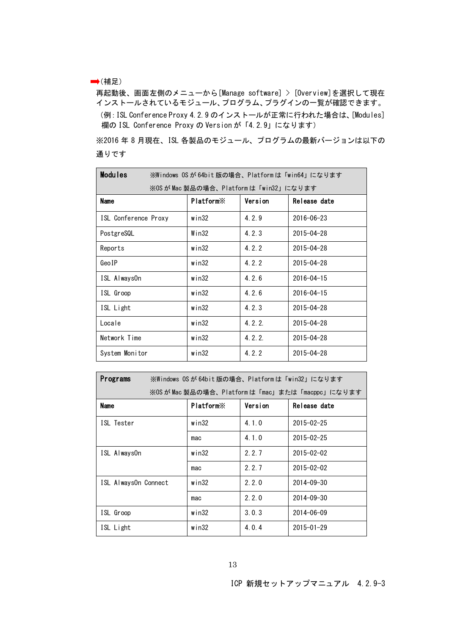## →(補足)

再起動後、画面左側のメニューから[Manage software] > [Overview]を選択して現在 インストールされているモジュール、プログラム、プラグインの一覧が確認できます。 (例:ISL Conference Proxy 4.2.9 のインストールが正常に行われた場合は、[Modules] 欄の ISL Conference Proxy の Version が「4.2.9」になります)

※2016 年 8 月現在、ISL 各製品のモジュール、プログラムの最新バージョンは以下の 通りです

| <b>Modules</b>                         | ※Windows OSが64bit版の場合、Platformは「win64」になります |         |                  |  |
|----------------------------------------|---------------------------------------------|---------|------------------|--|
| ※OS が Mac 製品の場合、Platform は「win32」になります |                                             |         |                  |  |
| <b>Name</b>                            | <b>Platform</b> <sup>×</sup>                | Version | Release date     |  |
| ISL Conference Proxy                   | win32                                       | 4.2.9   | $2016 - 06 - 23$ |  |
| PostgreSQL                             | Win32                                       | 4.2.3   | $2015 - 04 - 28$ |  |
| Reports                                | win32                                       | 4.2.2   | $2015 - 04 - 28$ |  |
| GeoIP                                  | win32                                       | 4.2.2   | $2015 - 04 - 28$ |  |
| ISL AlwaysOn                           | win32                                       | 4.2.6   | $2016 - 04 - 15$ |  |
| ISL Groop                              | win32                                       | 4.2.6   | $2016 - 04 - 15$ |  |
| ISL Light                              | win32                                       | 4.2.3   | $2015 - 04 - 28$ |  |
| Locale                                 | win32                                       | 4.2.2.  | $2015 - 04 - 28$ |  |
| Network Time                           | win32                                       | 4.2.2   | $2015 - 04 - 28$ |  |
| System Monitor                         | win32                                       | 4.2.2   | $2015 - 04 - 28$ |  |

| Programs<br>※Windows OSが 64bit 版の場合、Platformは「win32」になります |                       |         |                  |  |  |
|-----------------------------------------------------------|-----------------------|---------|------------------|--|--|
| ※OS が Mac 製品の場合、Platform は「mac」または「macppc」になります           |                       |         |                  |  |  |
| <b>Name</b>                                               | Platform <sup>×</sup> | Version | Release date     |  |  |
| ISL Tester                                                | win32                 | 4.1.0   | $2015 - 02 - 25$ |  |  |
|                                                           | mac                   | 4.1.0   | $2015 - 02 - 25$ |  |  |
| ISL AlwaysOn                                              | win32                 | 2.2.7   | $2015 - 02 - 02$ |  |  |
|                                                           | mac                   | 2.2.7   | $2015 - 02 - 02$ |  |  |
| ISL AlwaysOn Connect                                      | $w$ in $32$           | 2.2.0   | $2014 - 09 - 30$ |  |  |
|                                                           | mac                   | 2.2.0   | $2014 - 09 - 30$ |  |  |
| ISL Groop                                                 | win32                 | 3.0.3   | $2014 - 06 - 09$ |  |  |
| ISL Light                                                 | $w$ in $32$           | 4.0.4   | $2015 - 01 - 29$ |  |  |

ICP 新規セットアップマニュアル 4.2.9-3